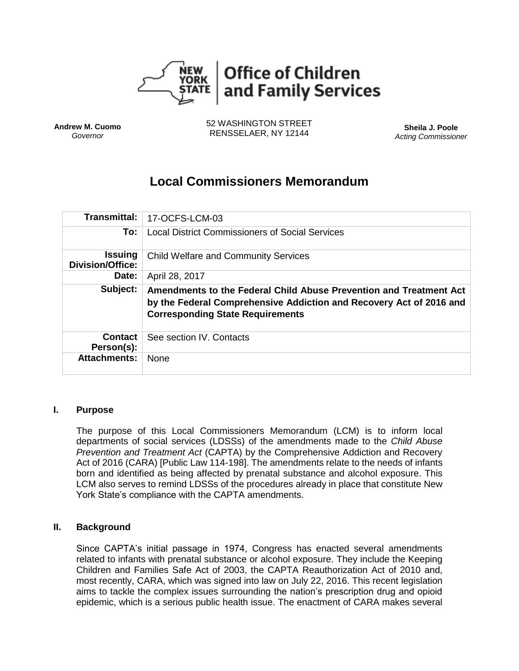

**Andrew M. Cuomo** *Governor*

52 WASHINGTON STREET RENSSELAER, NY 12144 **Sheila J. Poole**

*Acting Commissioner*

# **Local Commissioners Memorandum**

| <b>Transmittal:</b>                       | 17-OCFS-LCM-03                                                                                                 |
|-------------------------------------------|----------------------------------------------------------------------------------------------------------------|
| To:                                       | <b>Local District Commissioners of Social Services</b>                                                         |
| <b>Issuing</b><br><b>Division/Office:</b> | <b>Child Welfare and Community Services</b>                                                                    |
| Date:                                     | April 28, 2017                                                                                                 |
| Subject:                                  | Amendments to the Federal Child Abuse Prevention and Treatment Act                                             |
|                                           | by the Federal Comprehensive Addiction and Recovery Act of 2016 and<br><b>Corresponding State Requirements</b> |
| <b>Contact</b><br>Person(s):              | See section IV. Contacts                                                                                       |

#### **I. Purpose**

The purpose of this Local Commissioners Memorandum (LCM) is to inform local departments of social services (LDSSs) of the amendments made to the *Child Abuse Prevention and Treatment Act* (CAPTA) by the Comprehensive Addiction and Recovery Act of 2016 (CARA) [Public Law 114-198]. The amendments relate to the needs of infants born and identified as being affected by prenatal substance and alcohol exposure. This LCM also serves to remind LDSSs of the procedures already in place that constitute New York State's compliance with the CAPTA amendments.

### **II. Background**

Since CAPTA's initial passage in 1974, Congress has enacted several amendments related to infants with prenatal substance or alcohol exposure. They include the Keeping Children and Families Safe Act of 2003, the CAPTA Reauthorization Act of 2010 and, most recently, CARA, which was signed into law on July 22, 2016. This recent legislation aims to tackle the complex issues surrounding the nation's prescription drug and opioid epidemic, which is a serious public health issue. The enactment of CARA makes several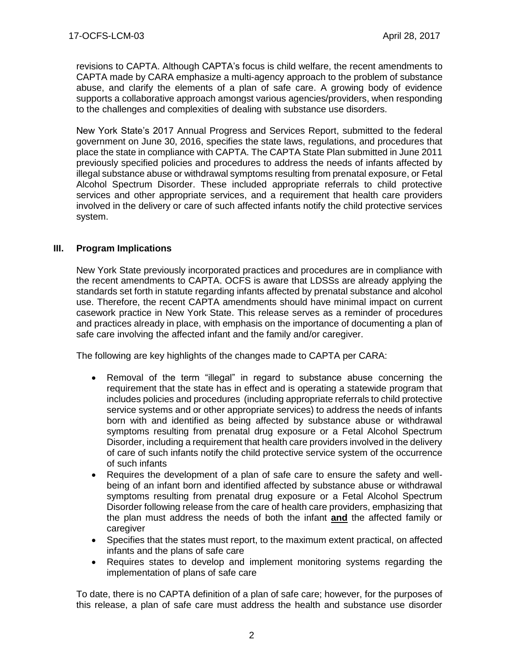revisions to CAPTA. Although CAPTA's focus is child welfare, the recent amendments to CAPTA made by CARA emphasize a multi-agency approach to the problem of substance abuse, and clarify the elements of a plan of safe care. A growing body of evidence supports a collaborative approach amongst various agencies/providers, when responding to the challenges and complexities of dealing with substance use disorders.

New York State's 2017 Annual Progress and Services Report, submitted to the federal government on June 30, 2016, specifies the state laws, regulations, and procedures that place the state in compliance with CAPTA. The CAPTA State Plan submitted in June 2011 previously specified policies and procedures to address the needs of infants affected by illegal substance abuse or withdrawal symptoms resulting from prenatal exposure, or Fetal Alcohol Spectrum Disorder. These included appropriate referrals to child protective services and other appropriate services, and a requirement that health care providers involved in the delivery or care of such affected infants notify the child protective services system.

# **III. Program Implications**

New York State previously incorporated practices and procedures are in compliance with the recent amendments to CAPTA. OCFS is aware that LDSSs are already applying the standards set forth in statute regarding infants affected by prenatal substance and alcohol use. Therefore, the recent CAPTA amendments should have minimal impact on current casework practice in New York State. This release serves as a reminder of procedures and practices already in place, with emphasis on the importance of documenting a plan of safe care involving the affected infant and the family and/or caregiver.

The following are key highlights of the changes made to CAPTA per CARA:

- Removal of the term "illegal" in regard to substance abuse concerning the requirement that the state has in effect and is operating a statewide program that includes policies and procedures (including appropriate referrals to child protective service systems and or other appropriate services) to address the needs of infants born with and identified as being affected by substance abuse or withdrawal symptoms resulting from prenatal drug exposure or a Fetal Alcohol Spectrum Disorder, including a requirement that health care providers involved in the delivery of care of such infants notify the child protective service system of the occurrence of such infants
- Requires the development of a plan of safe care to ensure the safety and wellbeing of an infant born and identified affected by substance abuse or withdrawal symptoms resulting from prenatal drug exposure or a Fetal Alcohol Spectrum Disorder following release from the care of health care providers, emphasizing that the plan must address the needs of both the infant **and** the affected family or caregiver
- Specifies that the states must report, to the maximum extent practical, on affected infants and the plans of safe care
- Requires states to develop and implement monitoring systems regarding the implementation of plans of safe care

To date, there is no CAPTA definition of a plan of safe care; however, for the purposes of this release, a plan of safe care must address the health and substance use disorder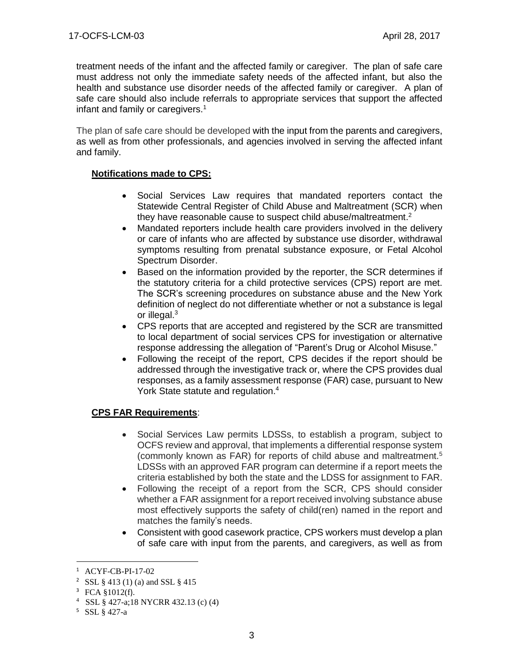treatment needs of the infant and the affected family or caregiver. The plan of safe care must address not only the immediate safety needs of the affected infant, but also the health and substance use disorder needs of the affected family or caregiver. A plan of safe care should also include referrals to appropriate services that support the affected infant and family or caregivers.<sup>1</sup>

The plan of safe care should be developed with the input from the parents and caregivers, as well as from other professionals, and agencies involved in serving the affected infant and family.

# **Notifications made to CPS:**

- Social Services Law requires that mandated reporters contact the Statewide Central Register of Child Abuse and Maltreatment (SCR) when they have reasonable cause to suspect child abuse/maltreatment.<sup>2</sup>
- Mandated reporters include health care providers involved in the delivery or care of infants who are affected by substance use disorder, withdrawal symptoms resulting from prenatal substance exposure, or Fetal Alcohol Spectrum Disorder.
- Based on the information provided by the reporter, the SCR determines if the statutory criteria for a child protective services (CPS) report are met. The SCR's screening procedures on substance abuse and the New York definition of neglect do not differentiate whether or not a substance is legal or illegal.<sup>3</sup>
- CPS reports that are accepted and registered by the SCR are transmitted to local department of social services CPS for investigation or alternative response addressing the allegation of "Parent's Drug or Alcohol Misuse."
- Following the receipt of the report, CPS decides if the report should be addressed through the investigative track or, where the CPS provides dual responses, as a family assessment response (FAR) case, pursuant to New York State statute and regulation.<sup>4</sup>

# **CPS FAR Requirements**:

- Social Services Law permits LDSSs, to establish a program, subject to OCFS review and approval, that implements a differential response system (commonly known as FAR) for reports of child abuse and maltreatment.<sup>5</sup> LDSSs with an approved FAR program can determine if a report meets the criteria established by both the state and the LDSS for assignment to FAR.
- Following the receipt of a report from the SCR, CPS should consider whether a FAR assignment for a report received involving substance abuse most effectively supports the safety of child(ren) named in the report and matches the family's needs.
- Consistent with good casework practice, CPS workers must develop a plan of safe care with input from the parents, and caregivers, as well as from

l

<sup>1</sup> ACYF-CB-PI-17-02

<sup>2</sup> SSL § 413 (1) (a) and SSL § 415

<sup>3</sup> FCA §1012(f).

<sup>4</sup> SSL § 427-a;18 NYCRR 432.13 (c) (4)

<sup>5</sup> SSL § 427-a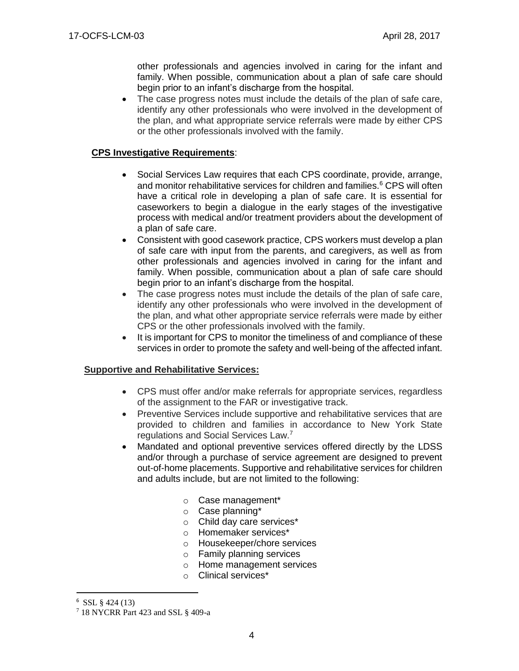other professionals and agencies involved in caring for the infant and family. When possible, communication about a plan of safe care should begin prior to an infant's discharge from the hospital.

 The case progress notes must include the details of the plan of safe care, identify any other professionals who were involved in the development of the plan, and what appropriate service referrals were made by either CPS or the other professionals involved with the family.

## **CPS Investigative Requirements**:

- Social Services Law requires that each CPS coordinate, provide, arrange, and monitor rehabilitative services for children and families.<sup>6</sup> CPS will often have a critical role in developing a plan of safe care. It is essential for caseworkers to begin a dialogue in the early stages of the investigative process with medical and/or treatment providers about the development of a plan of safe care.
- Consistent with good casework practice, CPS workers must develop a plan of safe care with input from the parents, and caregivers, as well as from other professionals and agencies involved in caring for the infant and family. When possible, communication about a plan of safe care should begin prior to an infant's discharge from the hospital.
- The case progress notes must include the details of the plan of safe care, identify any other professionals who were involved in the development of the plan, and what other appropriate service referrals were made by either CPS or the other professionals involved with the family.
- It is important for CPS to monitor the timeliness of and compliance of these services in order to promote the safety and well-being of the affected infant.

### **Supportive and Rehabilitative Services:**

- CPS must offer and/or make referrals for appropriate services, regardless of the assignment to the FAR or investigative track.
- Preventive Services include supportive and rehabilitative services that are provided to children and families in accordance to New York State regulations and Social Services Law.<sup>7</sup>
- Mandated and optional preventive services offered directly by the LDSS and/or through a purchase of service agreement are designed to prevent out-of-home placements. Supportive and rehabilitative services for children and adults include, but are not limited to the following:
	- o Case management\*
	- o Case planning\*
	- o Child day care services\*
	- o Homemaker services\*
	- o Housekeeper/chore services
	- o Family planning services
	- o Home management services
	- o Clinical services\*

l

 $6$  SSL § 424 (13)

<sup>7</sup> 18 NYCRR Part 423 and SSL § 409-a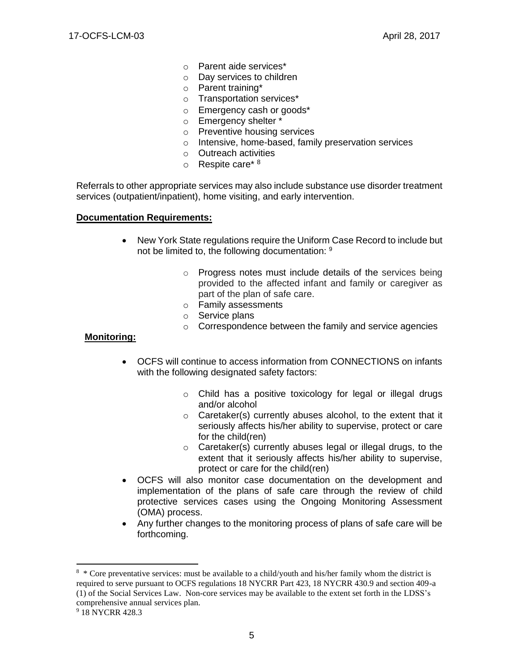- o Parent aide services\*
- o Day services to children
- o Parent training\*
- o Transportation services\*
- o Emergency cash or goods\*
- o Emergency shelter \*
- o Preventive housing services
- o Intensive, home-based, family preservation services
- o Outreach activities
- $\circ$  Respite care\*  $8$

Referrals to other appropriate services may also include substance use disorder treatment services (outpatient/inpatient), home visiting, and early intervention.

#### **Documentation Requirements:**

- New York State regulations require the Uniform Case Record to include but not be limited to, the following documentation: 9
	- o Progress notes must include details of the services being provided to the affected infant and family or caregiver as part of the plan of safe care.
	- o Family assessments
	- o Service plans
	- o Correspondence between the family and service agencies

#### **Monitoring:**

- OCFS will continue to access information from CONNECTIONS on infants with the following designated safety factors:
	- o Child has a positive toxicology for legal or illegal drugs and/or alcohol
	- o Caretaker(s) currently abuses alcohol, to the extent that it seriously affects his/her ability to supervise, protect or care for the child(ren)
	- o Caretaker(s) currently abuses legal or illegal drugs, to the extent that it seriously affects his/her ability to supervise, protect or care for the child(ren)
- OCFS will also monitor case documentation on the development and implementation of the plans of safe care through the review of child protective services cases using the Ongoing Monitoring Assessment (OMA) process.
- Any further changes to the monitoring process of plans of safe care will be forthcoming.

 $\overline{a}$ 

<sup>&</sup>lt;sup>8</sup> \* Core preventative services: must be available to a child/youth and his/her family whom the district is required to serve pursuant to OCFS regulations 18 NYCRR Part 423, 18 NYCRR 430.9 and section 409-a (1) of the Social Services Law. Non-core services may be available to the extent set forth in the LDSS's comprehensive annual services plan.

<sup>&</sup>lt;sup>9</sup> 18 NYCRR 428.3